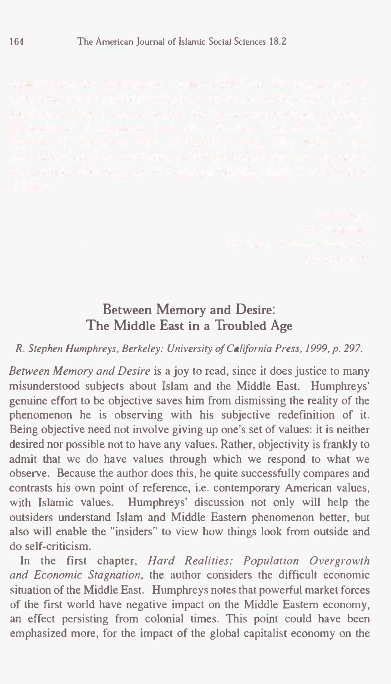## **Between Memory and Desire: The Middle East in a Troubled Age**

*R. Stephen Humphreys, Berkeley: University of California Press, 1999, p. 297.*

*Between Memory and Desire* is a joy to read, since it does justice to many misunderstood subjects about Islam and the Middle East. Humphreys' genuine effort to be objective saves him from dismissing the reality of the phenomenon he is observing with his subjective redefinition of it. Being objective need not involve giving up one's set of values: it is neither desired nor possible not to have any values. Rather, objectivity is frankly to admit that we do have values through which we respond to what we observe. Because the author does this, he quite successfully compares and contrasts his own point of reference, i.e. contemporary American values, with Islamic values. Humphreys' discussion not only will help the outsiders understand Islam and Middle Eastern phenomenon better, but also will enable the "insiders" to view how things look from outside and do self-criticism.

In the first chapter, *Hard Realities: Population Overgrowth and Economic Stagnation,* the author considers the difficult economic situation of the Middle East. Humphreys notes that powerful market forces of the first world have negative impact on the Middle Eastern economy, an effect persisting from colonial times. This point could have been emphasized more, for the impact of the global capitalist economy on the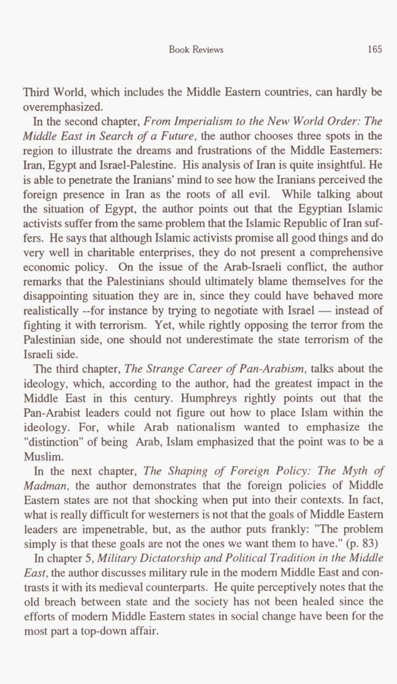Third World, which includes the Middle Eastern countries, can hardly be overemphasized.

In the second chapter, *From Imperialism to the New World Order: The Middle East in Search of a Future,* the author chooses three spots in the region to illustrate the dreams and frustrations of the Middle Easterners: Iran, Egypt and Israel-Palestine. His analysis of Iran is quite insightful. He is able to penetrate the Iranians' mind to see how the Iranians perceived the foreign presence in Iran as the roots of all evil. While talking about the situation of Egypt, the author points out that the Egyptian Islamic activists suffer from the same problem that the Islamic Republic of Iran suffers. He says that although Islamic activists promise all good things and do very well in charitable enterprises, they do not present a comprehensive economic policy. On the issue of the Arab-Israeli conflict, the author remarks that the Palestinians should ultimately blame themselves for the disappointing situation they are in, since they could have behaved more realistically --for instance by trying to negotiate with Israel - instead of fighting it with terrorism. Yet, while rightly opposing the terror from the Palestinian side, one should not underestimate the state terrorism of the Israeli side.

The third chapter, *The Strange Career of Pan-Arabism,* talks about the ideology, which, according to the author, had the greatest impact in the Middle East in this century. Humphreys rightly points out that the Pan-Arabist leaders could not figure out how to place Islam within the ideology. For, while Arab nationalism wanted to emphasize the "distinction" of being Arab, Islam emphasized that the point was to be a Muslim.

In the next chapter, *The Shaping of Foreign Policy: The Myth of Madman,* the author demonstrates that the foreign policies of Middle Eastern states are not that shocking when put into their contexts. In fact, what is really difficult for Westerners is not that the goals of Middle Eastern leaders are impenetrable, but, as the author puts frankly: "The problem simply is that these goals are not the ones we want them to have." (p. 83)

In chapter 5, *Military Dictatorship and Political Tradition in the Middle East,* the author discusses military rule in the modem Middle East and contrasts it with its medieval counterparts. He quite perceptively notes that the old breach between state and the society has not been healed since the efforts of modern Middle Eastern states in social change have been for the most part a top-down affair.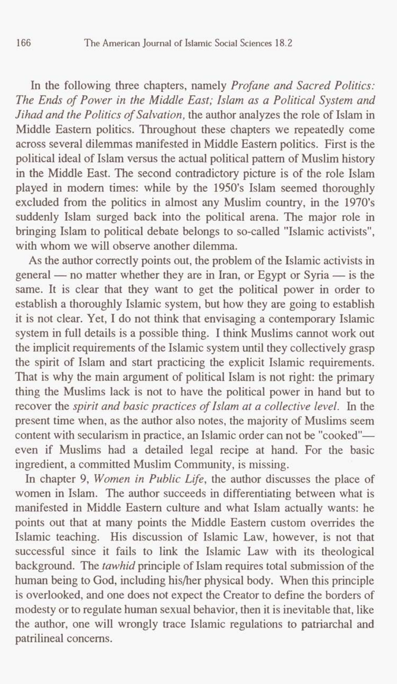In the following three chapters, namely *Profane and Sacred Politics: The Ends of Power in the Middle East; Islam as a Political System and Jihad and the Politics of Salvation,* the author analyzes the role of Islam in Middle Eastern politics. Throughout these chapters we repeatedly come across several dilemmas manifested in Middle Eastern politics. First is the political ideal of Islam versus the actual political pattern of Muslim history in the Middle East. The second contradictory picture is of the role Islam played in modem times: while by the **1950's** Islam seemed thoroughly excluded from the politics in almost any Muslim country, in the **1970's**  suddenly Islam surged back into the political arena. The major role in bringing Islam to political debate belongs to so-called "Islamic activists", with whom we will observe another dilemma.

**As** the author correctly points out, the problem of the Islamic activists in general - no matter whether they are in Iran, or Egypt or Syria - is the same. It is clear that they want to get the political power in order to establish a thoroughly Islamic system, but how they **are** going to establish it is not clear. Yet, I do not think that envisaging a contemporary Islamic system in full details is a possible thing. I think Muslims cannot work out the implicit requirements of the Islamic system until they collectively grasp the spirit of Islam and start practicing the explicit Islamic requirements. That is why the main argument of political Islam is not right: the primary thing **the** Muslims lack is not to have the political power in hand but to recover the *spirit and basic practices of Islam at a collective level.* In the present time when, as the author also notes, the majority of Muslims seem content with secularism in practice, an Islamic order can not be "cooked"even if Muslims had a detailed legal recipe at hand. For the basic ingredient, a committed Muslim Community, is missing.

In chapter **9,** *Women in Public Life,* the author discusses the place of women in Islam. The author succeeds in differentiating between what is manifested in Middle Eastern culture and what Islam actually wants: he points out that at many points the Middle Eastern custom overrides the Islamic teaching. His discussion of Islamic Law, however, is not that successful since it fails to link the Islamic Law with its theological background. The *tawhid* principle of Islam requires total submission of the human being to God, including his/her physical body. When this principle is overlooked, and one does not expect the Creator to define the borders of modesty or to regulate human sexual behavior, then it is inevitable that, like the author, one will wrongly trace Islamic regulations to patriarchal **and**  patrilineal concerns.